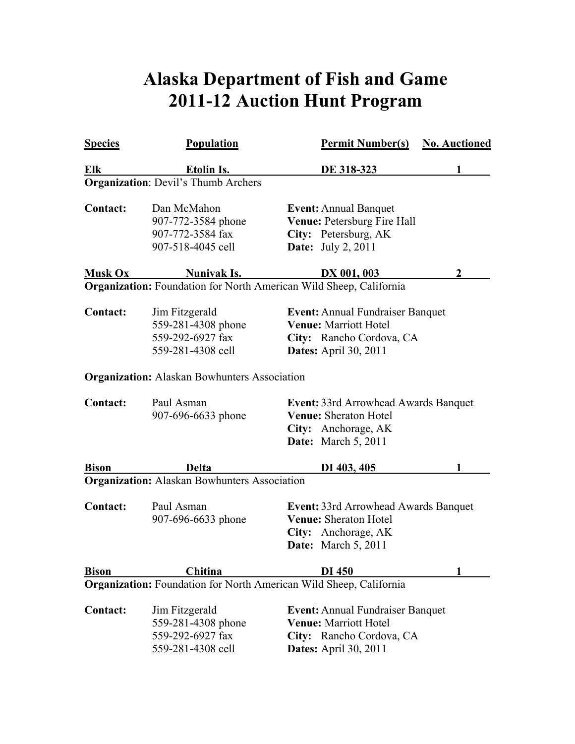## **Alaska Department of Fish and Game 2011-12 Auction Hunt Program**

| <b>Species</b>  | Population                                                                    | <b>Permit Number(s)</b>                                                                                                      | <b>No. Auctioned</b> |
|-----------------|-------------------------------------------------------------------------------|------------------------------------------------------------------------------------------------------------------------------|----------------------|
| Elk             | <u>Etolin Is.</u>                                                             | DE 318-323                                                                                                                   |                      |
|                 | <b>Organization: Devil's Thumb Archers</b>                                    |                                                                                                                              |                      |
| <b>Contact:</b> | Dan McMahon<br>907-772-3584 phone<br>907-772-3584 fax<br>907-518-4045 cell    | <b>Event: Annual Banquet</b><br>Venue: Petersburg Fire Hall<br>City: Petersburg, AK<br><b>Date:</b> July 2, 2011             |                      |
| <b>Musk Ox</b>  | Nunivak Is.                                                                   | DX 001, 003                                                                                                                  | 2                    |
|                 |                                                                               | Organization: Foundation for North American Wild Sheep, California                                                           |                      |
| <b>Contact:</b> | Jim Fitzgerald<br>559-281-4308 phone<br>559-292-6927 fax<br>559-281-4308 cell | <b>Event:</b> Annual Fundraiser Banquet<br>Venue: Marriott Hotel<br>City: Rancho Cordova, CA<br><b>Dates:</b> April 30, 2011 |                      |
|                 | <b>Organization:</b> Alaskan Bowhunters Association                           |                                                                                                                              |                      |
| <b>Contact:</b> | Paul Asman<br>907-696-6633 phone                                              | Event: 33rd Arrowhead Awards Banquet<br>Venue: Sheraton Hotel<br>City: Anchorage, AK<br>Date: March 5, 2011                  |                      |
| <b>Bison</b>    | <b>Delta</b>                                                                  | DI 403, 405                                                                                                                  |                      |
|                 | <b>Organization:</b> Alaskan Bowhunters Association                           |                                                                                                                              |                      |
| <b>Contact:</b> | Paul Asman<br>907-696-6633 phone                                              | Event: 33rd Arrowhead Awards Banquet<br>Venue: Sheraton Hotel<br>City: Anchorage, AK<br><b>Date:</b> March 5, 2011           |                      |
| <b>Bison</b>    | Chitina                                                                       | DI 450                                                                                                                       |                      |
|                 |                                                                               | Organization: Foundation for North American Wild Sheep, California                                                           |                      |
| <b>Contact:</b> | Jim Fitzgerald<br>559-281-4308 phone<br>559-292-6927 fax<br>559-281-4308 cell | <b>Event: Annual Fundraiser Banquet</b><br>Venue: Marriott Hotel<br>City: Rancho Cordova, CA<br><b>Dates:</b> April 30, 2011 |                      |